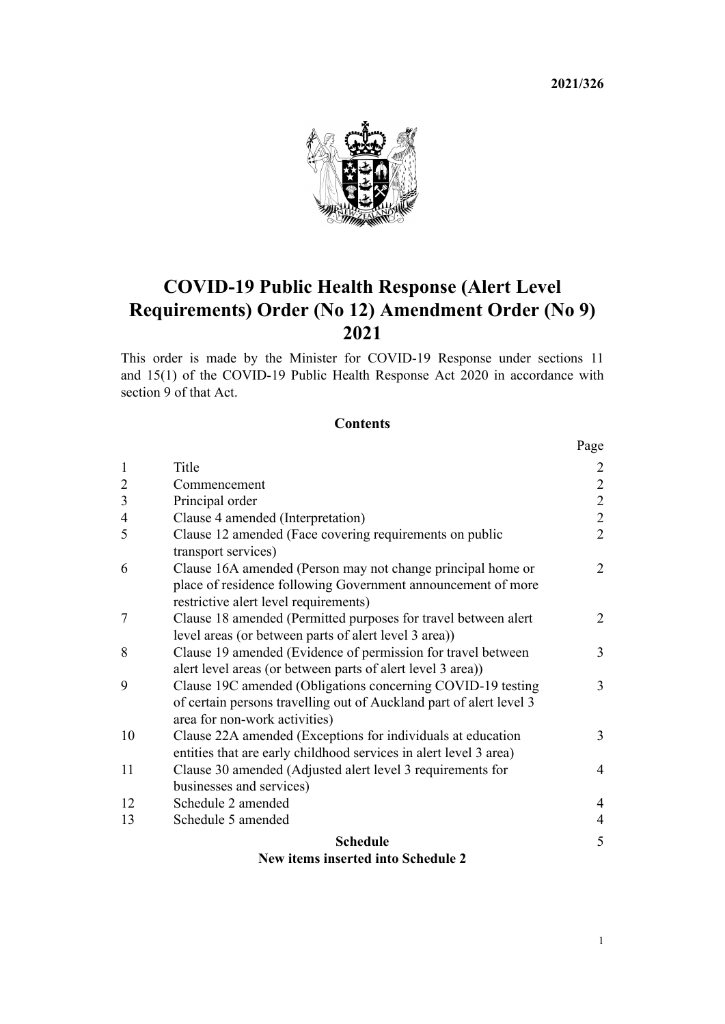**2021/326**



# **COVID-19 Public Health Response (Alert Level Requirements) Order (No 12) Amendment Order (No 9) 2021**

This order is made by the Minister for COVID-19 Response under [sections 11](http://legislation.govt.nz/pdflink.aspx?id=LMS344177) and [15\(1\)](http://legislation.govt.nz/pdflink.aspx?id=LMS344183) of the [COVID-19 Public Health Response Act 2020](http://legislation.govt.nz/pdflink.aspx?id=LMS344121) in accordance with [section 9](http://legislation.govt.nz/pdflink.aspx?id=LMS344175) of that Act.

### **Contents**

|                | New items inserted into Schedule 2                                                           |                                            |
|----------------|----------------------------------------------------------------------------------------------|--------------------------------------------|
|                | <b>Schedule</b>                                                                              | 5                                          |
| 13             | Schedule 5 amended                                                                           | $\overline{4}$                             |
| 12             | Schedule 2 amended                                                                           | $\overline{4}$                             |
|                | businesses and services)                                                                     |                                            |
| 11             | Clause 30 amended (Adjusted alert level 3 requirements for                                   | $\overline{4}$                             |
|                | entities that are early childhood services in alert level 3 area)                            |                                            |
| 10             | area for non-work activities)<br>Clause 22A amended (Exceptions for individuals at education | 3                                          |
|                | of certain persons travelling out of Auckland part of alert level 3                          |                                            |
| 9              | Clause 19C amended (Obligations concerning COVID-19 testing                                  | 3                                          |
|                | alert level areas (or between parts of alert level 3 area))                                  |                                            |
| 8              | Clause 19 amended (Evidence of permission for travel between                                 | 3                                          |
|                | level areas (or between parts of alert level 3 area))                                        |                                            |
| 7              | Clause 18 amended (Permitted purposes for travel between alert                               | $\overline{2}$                             |
|                | restrictive alert level requirements)                                                        |                                            |
|                | place of residence following Government announcement of more                                 |                                            |
| 6              | Clause 16A amended (Person may not change principal home or                                  | $\overline{2}$                             |
|                | Clause 12 amended (Face covering requirements on public<br>transport services)               |                                            |
| 4<br>5         | Clause 4 amended (Interpretation)                                                            | $\begin{array}{c} 2 \\ 2 \\ 2 \end{array}$ |
| 3              | Principal order                                                                              |                                            |
| $\overline{2}$ | Commencement                                                                                 |                                            |
| $\mathbf{1}$   | Title                                                                                        | $\overline{2}$                             |
|                |                                                                                              |                                            |
|                |                                                                                              | Page                                       |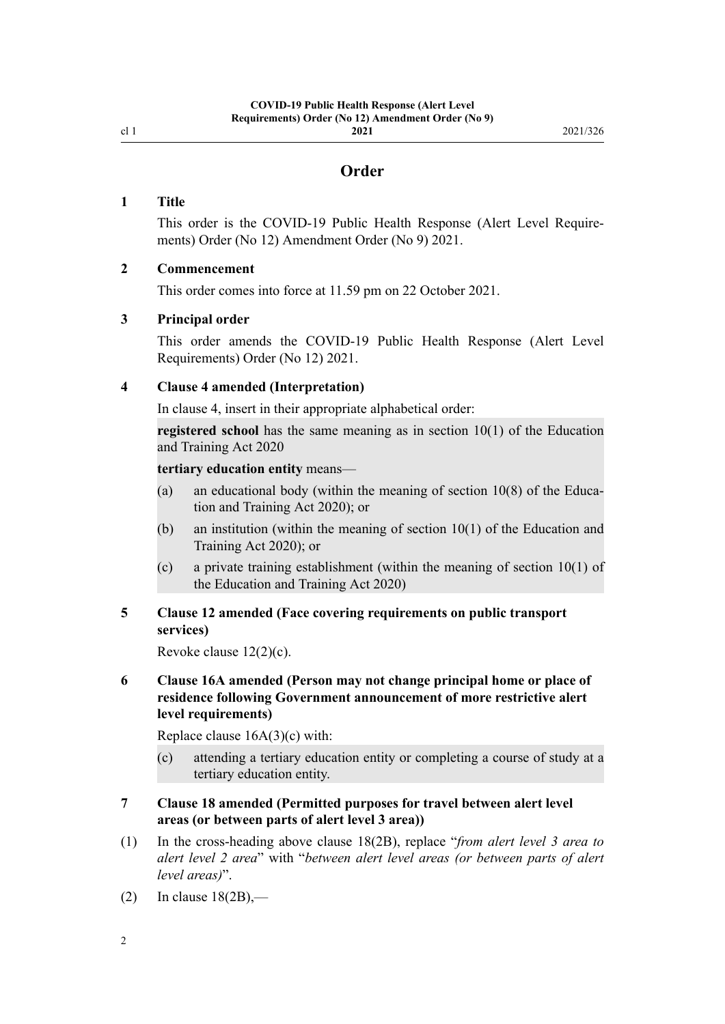<span id="page-1-0"></span>cl 1

# **Order**

### **1 Title**

This order is the COVID-19 Public Health Response (Alert Level Require‐ ments) Order (No 12) Amendment Order (No 9) 2021.

#### **2 Commencement**

This order comes into force at 11.59 pm on 22 October 2021.

#### **3 Principal order**

This order amends the [COVID-19 Public Health Response \(Alert Level](http://legislation.govt.nz/pdflink.aspx?id=LMS549702) [Requirements\) Order \(No 12\) 2021](http://legislation.govt.nz/pdflink.aspx?id=LMS549702).

#### **4 Clause 4 amended (Interpretation)**

In [clause 4](http://legislation.govt.nz/pdflink.aspx?id=LMS549815), insert in their appropriate alphabetical order:

**registered school** has the same meaning as in section 10(1) of the Education and Training Act 2020

#### **tertiary education entity** means—

- (a) an educational body (within the meaning of section  $10(8)$  of the Education and Training Act 2020); or
- (b) an institution (within the meaning of section 10(1) of the Education and Training Act 2020); or
- (c) a private training establishment (within the meaning of section 10(1) of the Education and Training Act 2020)

# **5 Clause 12 amended (Face covering requirements on public transport services)**

Revoke [clause 12\(2\)\(c\)](http://legislation.govt.nz/pdflink.aspx?id=LMS549828).

## **6 Clause 16A amended (Person may not change principal home or place of residence following Government announcement of more restrictive alert level requirements)**

Replace [clause 16A\(3\)\(c\)](http://legislation.govt.nz/pdflink.aspx?id=LMS572931) with:

(c) attending a tertiary education entity or completing a course of study at a tertiary education entity.

#### **7 Clause 18 amended (Permitted purposes for travel between alert level areas (or between parts of alert level 3 area))**

- (1) In the cross-heading above [clause 18\(2B\)](http://legislation.govt.nz/pdflink.aspx?id=LMS549841), replace "*from alert level 3 area to alert level 2 area*" with "*between alert level areas (or between parts of alert level areas)*".
- $(2)$  In clause  $18(2B)$ ,—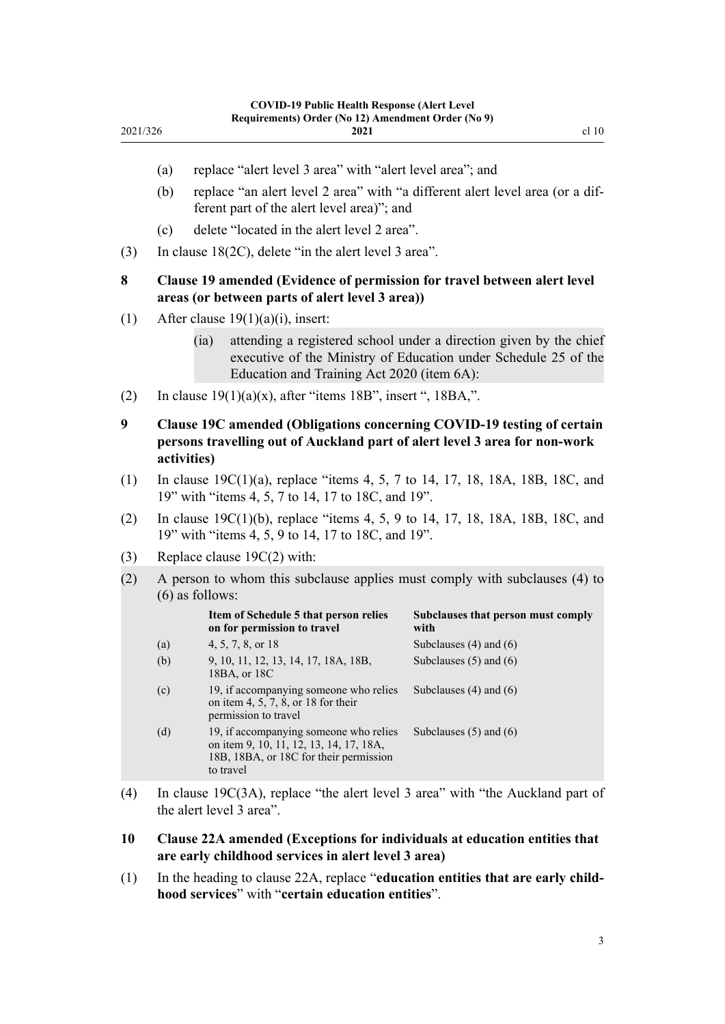| Order (No 12) Amendment Order (No 9) |       |
|--------------------------------------|-------|
| 2021                                 | cl 10 |

- (a) replace "alert level 3 area" with "alert level area"; and
- (b) replace "an alert level 2 area" with "a different alert level area (or a dif‐ ferent part of the alert level area)"; and
- (c) delete "located in the alert level 2 area".
- (3) In [clause 18\(2C\),](http://legislation.govt.nz/pdflink.aspx?id=LMS549841) delete "in the alert level 3 area".

# **8 Clause 19 amended (Evidence of permission for travel between alert level areas (or between parts of alert level 3 area))**

(1) After clause  $19(1)(a)(i)$ , insert:

<span id="page-2-0"></span>2021/326

- (ia) attending a registered school under a direction given by the chief executive of the Ministry of Education under Schedule 25 of the Education and Training Act 2020 (item 6A):
- (2) In clause  $19(1)(a)(x)$ , after "items 18B", insert ", 18BA,".
- **9 Clause 19C amended (Obligations concerning COVID-19 testing of certain persons travelling out of Auckland part of alert level 3 area for non-work activities)**
- (1) In [clause 19C\(1\)\(a\),](http://legislation.govt.nz/pdflink.aspx?id=LMS557547) replace "items 4, 5, 7 to 14, 17, 18, 18A, 18B, 18C, and 19" with "items 4, 5, 7 to 14, 17 to 18C, and 19".
- (2) In [clause 19C\(1\)\(b\)](http://legislation.govt.nz/pdflink.aspx?id=LMS557547), replace "items 4, 5, 9 to 14, 17, 18, 18A, 18B, 18C, and 19" with "items 4, 5, 9 to 14, 17 to 18C, and 19".
- (3) Replace [clause 19C\(2\)](http://legislation.govt.nz/pdflink.aspx?id=LMS557547) with:
- (2) A person to whom this subclause applies must comply with subclauses (4) to (6) as follows:

|     | Item of Schedule 5 that person relies<br>on for permission to travel                                                                     | Subclauses that person must comply<br>with |
|-----|------------------------------------------------------------------------------------------------------------------------------------------|--------------------------------------------|
| (a) | 4, 5, 7, 8, or 18                                                                                                                        | Subclauses $(4)$ and $(6)$                 |
| (b) | 9, 10, 11, 12, 13, 14, 17, 18A, 18B,<br>18BA, or 18C                                                                                     | Subclauses $(5)$ and $(6)$                 |
| (c) | 19, if accompanying someone who relies<br>on item 4, 5, 7, 8, or 18 for their<br>permission to travel                                    | Subclauses $(4)$ and $(6)$                 |
| (d) | 19, if accompanying someone who relies<br>on item 9, 10, 11, 12, 13, 14, 17, 18A,<br>18B, 18BA, or 18C for their permission<br>to travel | Subclauses $(5)$ and $(6)$                 |

- (4) In [clause 19C\(3A\),](http://legislation.govt.nz/pdflink.aspx?id=LMS557547) replace "the alert level 3 area" with "the Auckland part of the alert level 3 area".
- **10 Clause 22A amended (Exceptions for individuals at education entities that are early childhood services in alert level 3 area)**
- (1) In the heading to [clause 22A,](http://legislation.govt.nz/pdflink.aspx?id=LMS563970) replace "**education entities that are early child‐ hood services**" with "**certain education entities**".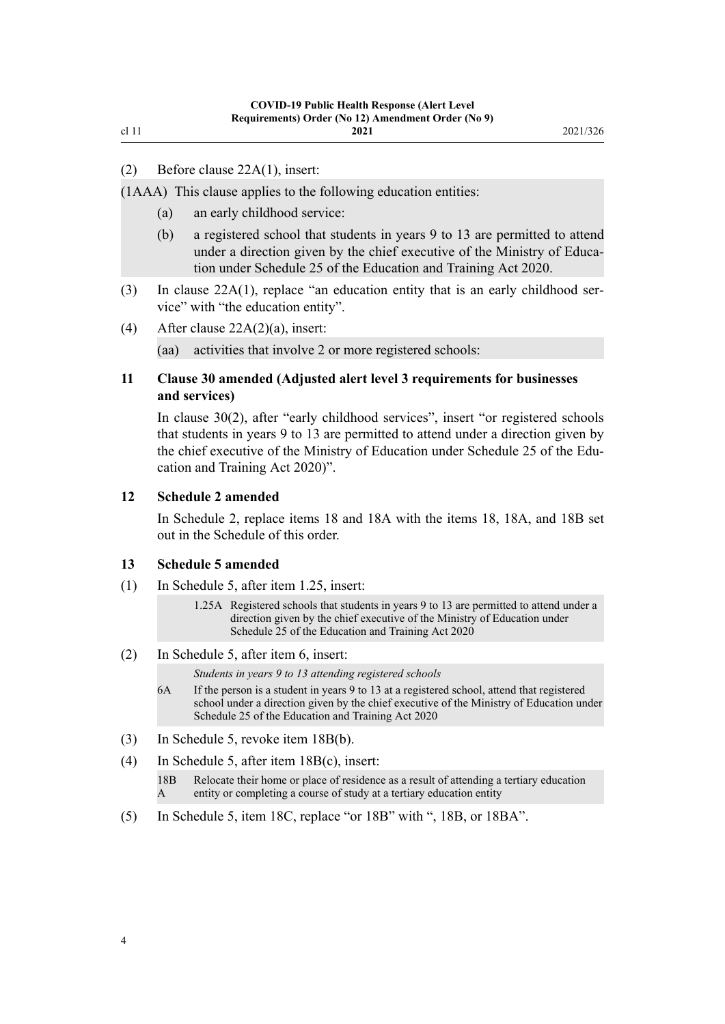<span id="page-3-0"></span>cl 11

(1AAA) This clause applies to the following education entities:

- (a) an early childhood service:
- (b) a registered school that students in years 9 to 13 are permitted to attend under a direction given by the chief executive of the Ministry of Education under Schedule 25 of the Education and Training Act 2020.
- (3) In clause  $22A(1)$ , replace "an education entity that is an early childhood service" with "the education entity".
- (4) After [clause 22A\(2\)\(a\),](http://legislation.govt.nz/pdflink.aspx?id=LMS563970) insert:

(aa) activities that involve 2 or more registered schools:

# **11 Clause 30 amended (Adjusted alert level 3 requirements for businesses and services)**

In [clause 30\(2\),](http://legislation.govt.nz/pdflink.aspx?id=LMS549881) after "early childhood services", insert "or registered schools that students in years 9 to 13 are permitted to attend under a direction given by the chief executive of the Ministry of Education under Schedule 25 of the Education and Training Act 2020)".

#### **12 Schedule 2 amended**

In [Schedule 2](http://legislation.govt.nz/pdflink.aspx?id=LMS549935), replace items 18 and 18A with the items 18, 18A, and 18B set out in the [Schedule](#page-4-0) of this order.

#### **13 Schedule 5 amended**

(1) In [Schedule 5](http://legislation.govt.nz/pdflink.aspx?id=LMS549944), after item 1.25, insert:

1.25A Registered schools that students in years 9 to 13 are permitted to attend under a direction given by the chief executive of the Ministry of Education under Schedule 25 of the Education and Training Act 2020

(2) In [Schedule 5](http://legislation.govt.nz/pdflink.aspx?id=LMS549944), after item 6, insert:

*Students in years 9 to 13 attending registered schools*

- 6A If the person is a student in years 9 to 13 at a registered school, attend that registered school under a direction given by the chief executive of the Ministry of Education under Schedule 25 of the Education and Training Act 2020
- (3) In [Schedule 5](http://legislation.govt.nz/pdflink.aspx?id=LMS549944), revoke item 18B(b).
- (4) In [Schedule 5](http://legislation.govt.nz/pdflink.aspx?id=LMS549944), after item 18B(c), insert:

18B A Relocate their home or place of residence as a result of attending a tertiary education entity or completing a course of study at a tertiary education entity

(5) In [Schedule 5](http://legislation.govt.nz/pdflink.aspx?id=LMS549944), item 18C, replace "or 18B" with ", 18B, or 18BA".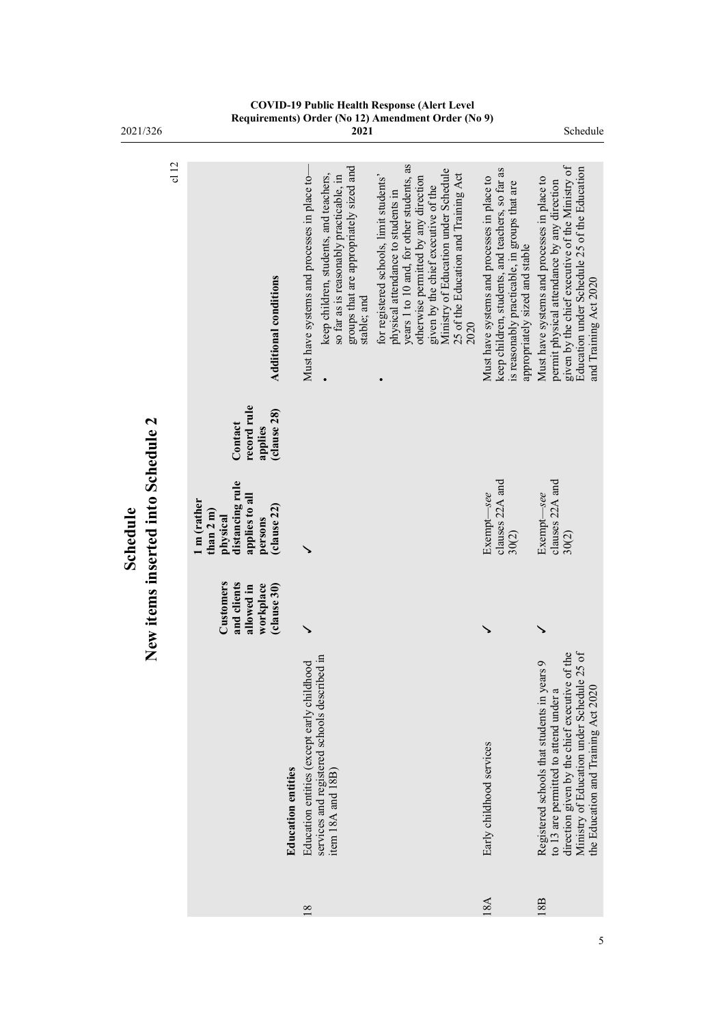<span id="page-4-0"></span>

| 2021/326                                       |      | nyyun<br>ununo <i>j</i>                                                                                          |                           | $\mathbf{u}$ is the set<br>$\frac{12}{2021}$                                                                                                                                                | мисичный от                                                                                                                                                                                                                                                                                       |                                                                                                                                                                                    | Schedule                                                                                                                                                                                                                                     |
|------------------------------------------------|------|------------------------------------------------------------------------------------------------------------------|---------------------------|---------------------------------------------------------------------------------------------------------------------------------------------------------------------------------------------|---------------------------------------------------------------------------------------------------------------------------------------------------------------------------------------------------------------------------------------------------------------------------------------------------|------------------------------------------------------------------------------------------------------------------------------------------------------------------------------------|----------------------------------------------------------------------------------------------------------------------------------------------------------------------------------------------------------------------------------------------|
|                                                | c112 | <b>Additional conditions</b>                                                                                     |                           | groups that are appropriately sized and<br>keep children, students, and teachers,<br>Must have systems and processes in place to-<br>so far as is reasonably practicable, in<br>stable; and | years 1 to 10 and, for other students, as<br>Ministry of Education under Schedule<br>25 of the Education and Training Act<br>for registered schools, limit students'<br>otherwise permitted by any direction<br>given by the chief executive of the<br>physical attendance to students in<br>2020 | keep children, students, and teachers, so far as<br>Must have systems and processes in place to<br>is reasonably practicable, in groups that are<br>appropriately sized and stable | given by the chief executive of the Ministry of<br>Education under Schedule 25 of the Education<br>Must have systems and processes in place to<br>permit physical attendance by any direction<br>and Training Act 2020                       |
|                                                |      | record rule<br>(clause 28)<br>Contact<br>applies                                                                 |                           |                                                                                                                                                                                             |                                                                                                                                                                                                                                                                                                   |                                                                                                                                                                                    |                                                                                                                                                                                                                                              |
| New items inserted into Schedule 2<br>Schedule |      | distancing rule<br>applies to all<br>1 m (rather<br>(clause 22)<br>than $2 \, \text{m}$ )<br>physical<br>persons |                           |                                                                                                                                                                                             |                                                                                                                                                                                                                                                                                                   | clauses 22A and<br>Exempt-see<br>30(2)                                                                                                                                             | clauses 22A and<br>Exempt-see<br>30(2)                                                                                                                                                                                                       |
|                                                |      | Customers<br>and clients<br>workplace<br>clause 30)<br>allowed in                                                |                           |                                                                                                                                                                                             |                                                                                                                                                                                                                                                                                                   | ↘                                                                                                                                                                                  | ↘                                                                                                                                                                                                                                            |
|                                                |      |                                                                                                                  | <b>Education entities</b> | services and registered schools described in<br>Education entities (except early childhood<br>item $18A$ and $18B$                                                                          |                                                                                                                                                                                                                                                                                                   | Early childhood services                                                                                                                                                           | $o$ f<br>the<br>$\circ$<br>Ministry of Education under Schedule 25<br>Registered schools that students in years<br>direction given by the chief executive of<br>the Education and Training Act 2020<br>to 13 are permitted to attend under a |
|                                                |      |                                                                                                                  |                           | 18                                                                                                                                                                                          |                                                                                                                                                                                                                                                                                                   | 18A                                                                                                                                                                                | 18B                                                                                                                                                                                                                                          |

**COVID-19 Public Health Response (Alert Level Requirements) Order (No 12) Amendment Order (No 9)**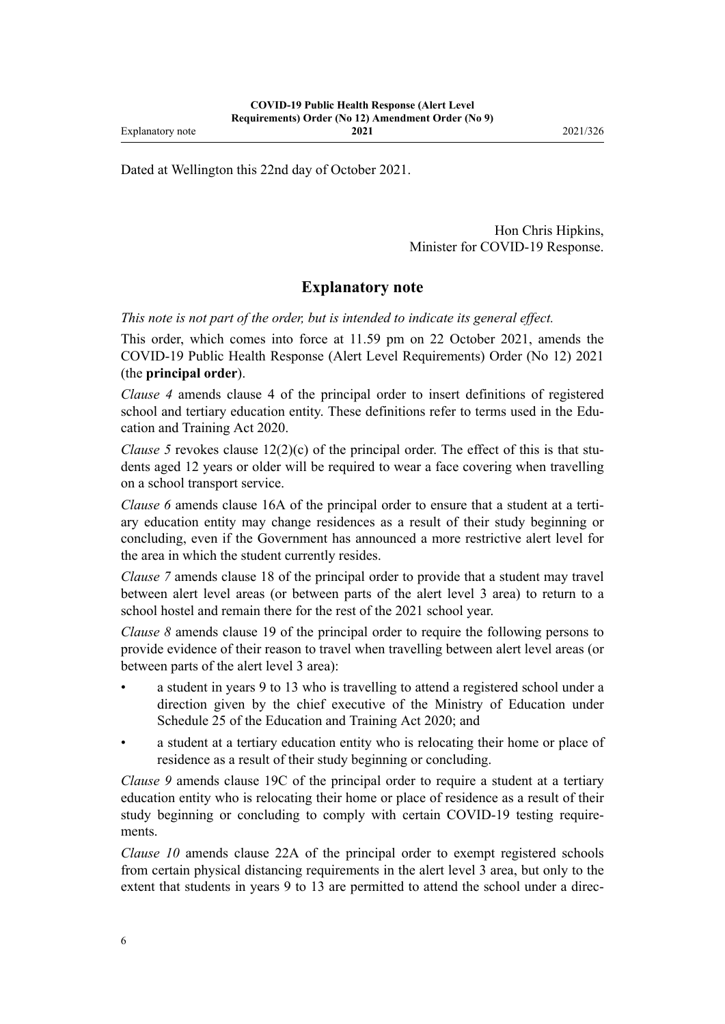Dated at Wellington this 22nd day of October 2021.

Hon Chris Hipkins, Minister for COVID-19 Response.

# **Explanatory note**

*This note is not part of the order, but is intended to indicate its general effect.*

This order, which comes into force at 11.59 pm on 22 October 2021, amends the [COVID-19 Public Health Response \(Alert Level Requirements\) Order \(No 12\) 2021](http://legislation.govt.nz/pdflink.aspx?id=LMS549702) (the **principal order**).

*[Clause 4](#page-1-0)* amends [clause 4](http://legislation.govt.nz/pdflink.aspx?id=LMS549815) of the principal order to insert definitions of registered school and tertiary education entity. These definitions refer to terms used in the Edu[cation and Training Act 2020](http://legislation.govt.nz/pdflink.aspx?id=LMS170674).

*[Clause 5](#page-1-0)* revokes clause  $12(2)(c)$  of the principal order. The effect of this is that students aged 12 years or older will be required to wear a face covering when travelling on a school transport service.

*[Clause 6](#page-1-0)* amends [clause 16A](http://legislation.govt.nz/pdflink.aspx?id=LMS572931) of the principal order to ensure that a student at a tertiary education entity may change residences as a result of their study beginning or concluding, even if the Government has announced a more restrictive alert level for the area in which the student currently resides.

*[Clause 7](#page-1-0)* amends [clause 18](http://legislation.govt.nz/pdflink.aspx?id=LMS549841) of the principal order to provide that a student may travel between alert level areas (or between parts of the alert level 3 area) to return to a school hostel and remain there for the rest of the 2021 school year.

*[Clause 8](#page-2-0)* amends [clause 19](http://legislation.govt.nz/pdflink.aspx?id=LMS549842) of the principal order to require the following persons to provide evidence of their reason to travel when travelling between alert level areas (or between parts of the alert level 3 area):

- a student in years 9 to 13 who is travelling to attend a registered school under a direction given by the chief executive of the Ministry of Education under [Schedule 25](http://legislation.govt.nz/pdflink.aspx?id=LMS339282) of the Education and Training Act 2020; and
- a student at a tertiary education entity who is relocating their home or place of residence as a result of their study beginning or concluding.

*[Clause 9](#page-2-0)* amends [clause 19C](http://legislation.govt.nz/pdflink.aspx?id=LMS557547) of the principal order to require a student at a tertiary education entity who is relocating their home or place of residence as a result of their study beginning or concluding to comply with certain COVID-19 testing require‐ ments.

*[Clause 10](#page-2-0)* amends [clause 22A](http://legislation.govt.nz/pdflink.aspx?id=LMS563970) of the principal order to exempt registered schools from certain physical distancing requirements in the alert level 3 area, but only to the extent that students in years 9 to 13 are permitted to attend the school under a direc